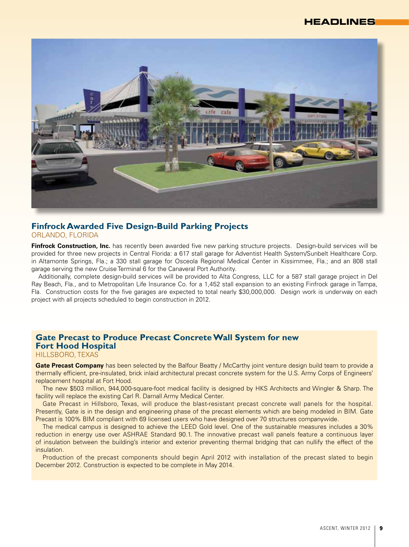

# **Finfrock Awarded Five Design-Build Parking Projects**

Orlando, FlORIDA

Finfrock Construction, Inc. has recently been awarded five new parking structure projects. Design-build services will be provided for three new projects in Central Florida: a 617 stall garage for Adventist Health System/Sunbelt Healthcare Corp. in Altamonte Springs, Fla.; a 330 stall garage for Osceola Regional Medical Center in Kissimmee, Fla.; and an 808 stall garage serving the new Cruise Terminal 6 for the Canaveral Port Authority.

Additionally, complete design-build services will be provided to Alta Congress, LLC for a 587 stall garage project in Del Ray Beach, Fla., and to Metropolitan Life Insurance Co. for a 1,452 stall expansion to an existing Finfrock garage in Tampa, Fla. Construction costs for the five garages are expected to total nearly \$30,000,000. Design work is underway on each project with all projects scheduled to begin construction in 2012.

### **Gate Precast to Produce Precast Concrete Wall System for new Fort Hood Hospital**

#### Hillsboro, Texas

**Gate Precast Company** has been selected by the Balfour Beatty / McCarthy joint venture design build team to provide a thermally efficient, pre-insulated, brick inlaid architectural precast concrete system for the U.S. Army Corps of Engineers' replacement hospital at Fort Hood.

The new \$503 million, 944,000-square-foot medical facility is designed by HKS Architects and Wingler & Sharp. The facility will replace the existing Carl R. Darnall Army Medical Center.

Gate Precast in Hillsboro, Texas, will produce the blast-resistant precast concrete wall panels for the hospital. Presently, Gate is in the design and engineering phase of the precast elements which are being modeled in BIM. Gate Precast is 100% BIM compliant with 69 licensed users who have designed over 70 structures companywide.

The medical campus is designed to achieve the LEED Gold level. One of the sustainable measures includes a 30% reduction in energy use over ASHRAE Standard 90.1. The innovative precast wall panels feature a continuous layer of insulation between the building's interior and exterior preventing thermal bridging that can nullify the effect of the insulation.

Production of the precast components should begin April 2012 with installation of the precast slated to begin December 2012. Construction is expected to be complete in May 2014.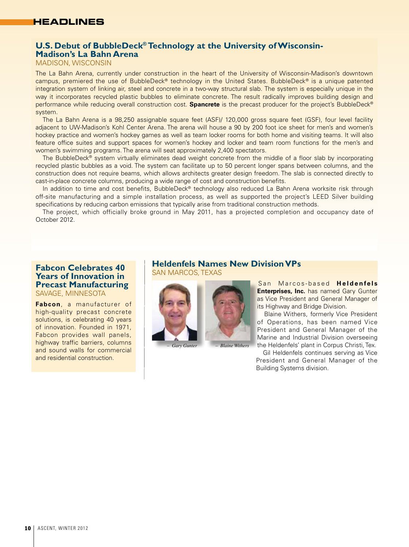### **U.S. Debut of BubbleDeck® Technology at the University of Wisconsin-**

**Madison's La Bahn Arena**

Madison, WisCONSIN

The La Bahn Arena, currently under construction in the heart of the University of Wisconsin-Madison's downtown campus, premiered the use of BubbleDeck® technology in the United States. BubbleDeck® is a unique patented integration system of linking air, steel and concrete in a two-way structural slab. The system is especially unique in the way it incorporates recycled plastic bubbles to eliminate concrete. The result radically improves building design and performance while reducing overall construction cost. **Spancrete** is the precast producer for the project's BubbleDeck® system.

The La Bahn Arena is a 98,250 assignable square feet (ASF)/ 120,000 gross square feet (GSF), four level facility adjacent to UW-Madison's Kohl Center Arena. The arena will house a 90 by 200 foot ice sheet for men's and women's hockey practice and women's hockey games as well as team locker rooms for both home and visiting teams. It will also feature office suites and support spaces for women's hockey and locker and team room functions for the men's and women's swimming programs. The arena will seat approximately 2,400 spectators.

The BubbleDeck® system virtually eliminates dead weight concrete from the middle of a floor slab by incorporating recycled plastic bubbles as a void. The system can facilitate up to 50 percent longer spans between columns, and the construction does not require beams, which allows architects greater design freedom. The slab is connected directly to cast-in-place concrete columns, producing a wide range of cost and construction benefits.

In addition to time and cost benefits, BubbleDeck® technology also reduced La Bahn Arena worksite risk through off-site manufacturing and a simple installation process, as well as supported the project's LEED Silver building specifications by reducing carbon emissions that typically arise from traditional construction methods.

The project, which officially broke ground in May 2011, has a projected completion and occupancy date of October 2012.

#### **Fabcon Celebrates 40 Years of Innovation in Precast Manufacturing** Savage, MinnESOTA

**Fabcon**, a manufacturer of high-quality precast concrete solutions, is celebrating 40 years of innovation. Founded in 1971, Fabcon provides wall panels, highway traffic barriers, columns and sound walls for commercial and residential construction.

#### **Heldenfels Names New Division VPs** SAN MARCOS, TEXAS



*– Gary Gunter – Blaine Withers*

San Marcos-based **Heldenfels Enterprises, Inc.** has named Gary Gunter as Vice President and General Manager of its Highway and Bridge Division.

Blaine Withers, formerly Vice President of Operations, has been named Vice President and General Manager of the Marine and Industrial Division overseeing the Heldenfels' plant in Corpus Christi, Tex.

Gil Heldenfels continues serving as Vice President and General Manager of the Building Systems division.